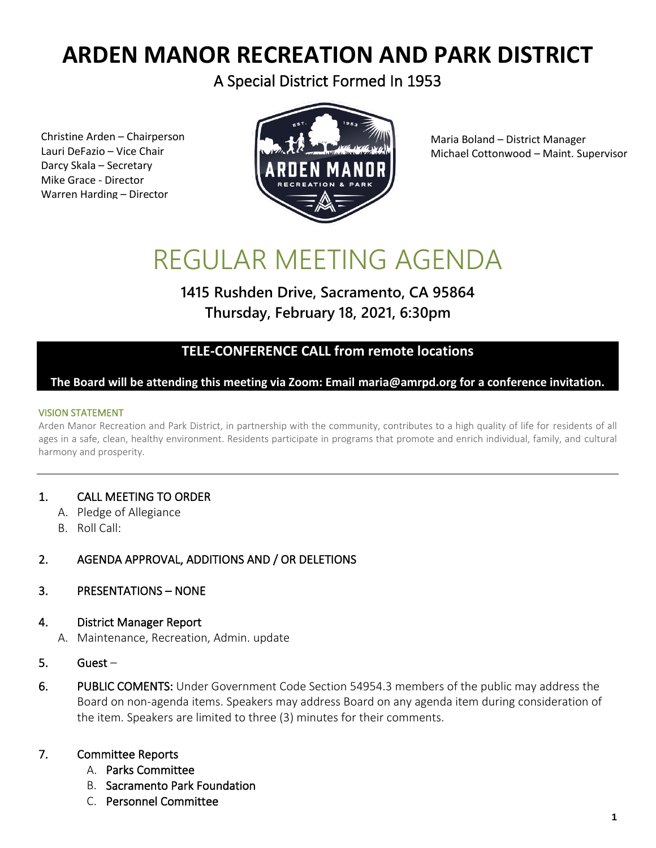## **ARDEN MANOR RECREATION AND PARK DISTRICT**

A Special District Formed In 1953

Christine Arden – Chairperson Lauri DeFazio – Vice Chair Darcy Skala – Secretary Mike Grace - Director Warren Harding – Director



Maria Boland – District Manager Michael Cottonwood – Maint. Supervisor

# REGULAR MEETING AGENDA

### **1415 Rushden Drive, Sacramento, CA 95864 Thursday, February 18, 2021, 6:30pm**

#### **TELE-CONFERENCE CALL from remote locations**

#### **The Board will be attending this meeting via Zoom: Email maria@amrpd.org for a conference invitation.**

#### VISION STATEMENT

Arden Manor Recreation and Park District, in partnership with the community, contributes to a high quality of life for residents of all ages in a safe, clean, healthy environment. Residents participate in programs that promote and enrich individual, family, and cultural harmony and prosperity.

#### 1. CALL MEETING TO ORDER

- A. Pledge of Allegiance
- B. Roll Call:

#### 2. AGENDA APPROVAL, ADDITIONS AND / OR DELETIONS

#### 3. PRESENTATIONS – NONE

#### 4. District Manager Report

- A. Maintenance, Recreation, Admin. update
- 5. Guest –
- 6. PUBLIC COMENTS: Under Government Code Section 54954.3 members of the public may address the Board on non-agenda items. Speakers may address Board on any agenda item during consideration of the item. Speakers are limited to three (3) minutes for their comments.

#### 7. Committee Reports

- A. Parks Committee
- B. Sacramento Park Foundation
- C. Personnel Committee